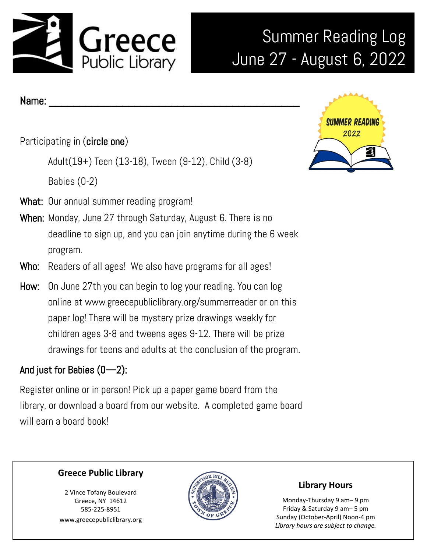

## Summer Reading Log June 27 - August 6, 2022

## Name: \_\_\_\_\_\_\_\_\_\_\_\_\_\_\_\_\_\_\_\_\_\_\_\_\_\_\_\_\_\_\_\_\_\_\_\_\_\_\_\_\_

Participating in (circle one)

Adult(19+) Teen (13-18), Tween (9-12), Child (3-8) Babies (0-2)

- What: Our annual summer reading program!
- When: Monday, June 27 through Saturday, August 6. There is no deadline to sign up, and you can join anytime during the 6 week program.
- Who: Readers of all ages! We also have programs for all ages!
- How: On June 27th you can begin to log your reading. You can log online at www.greecepubliclibrary.org/summerreader or on this paper log! There will be mystery prize drawings weekly for children ages 3-8 and tweens ages 9-12. There will be prize drawings for teens and adults at the conclusion of the program.

## And just for Babies (0—2):

Register online or in person! Pick up a paper game board from the library, or download a board from our website. A completed game board will earn a board book!

#### **Greece Public Library**

2 Vince Tofany Boulevard Greece, NY 14612 585-225-8951 www.greecepubliclibrary.org



### **Library Hours**

Monday-Thursday 9 am– 9 pm Friday & Saturday 9 am– 5 pm Sunday (October-April) Noon-4 pm *Library hours are subject to change.*